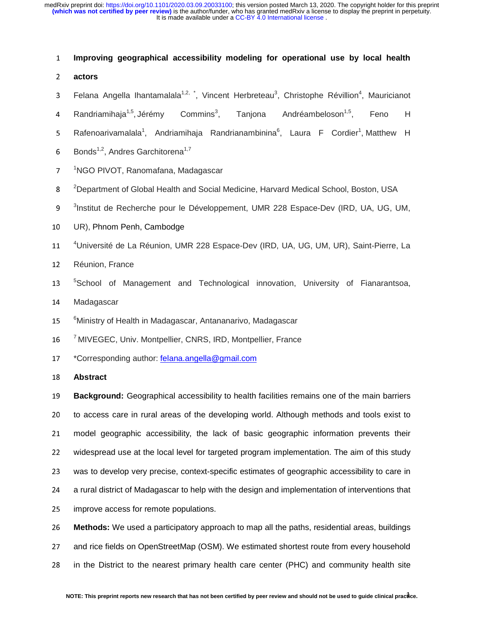#### <sup>1</sup>**Improving geographical accessibility modeling for operational use by local health**

- <sup>2</sup>**actors**
- 3 Felana Angella Ihantamalala<sup>1,2, \*</sup>, Vincent Herbreteau<sup>3</sup>, Christophe Révillion<sup>4</sup>, Mauricianot
- 4 Randriamihaja<sup>1,5</sup>, Jérémy Commins<sup>3</sup>, Tanjona Andréambeloson<sup>1,5</sup>, Feno H
- 5 Rafenoarivamalala<sup>1</sup>, Andriamihaja Randrianambinina<sup>6</sup>, Laura F Cordier<sup>1</sup>,Matthew H
- 6 Bonds<sup>1,2</sup>, Andres Garchitorena<sup>1,7</sup>
- 7 <sup>1</sup>NGO PIVOT, Ranomafana, Madagascar
- 8 <sup>2</sup>Department of Global Health and Social Medicine, Harvard Medical School, Boston, USA
- <sup>3</sup>Institut de Recherche pour le Développement, UMR 228 Espace-Dev (IRD, UA, UG, UM,
- 10 UR), Phnom Penh, Cambodge
- 11 <sup>4</sup> Université de La Réunion, UMR 228 Espace-Dev (IRD, UA, UG, UM, UR), Saint-Pierre, La
- 12 Réunion, France
- 13 <sup>5</sup>School of Management and Technological innovation, University of Fianarantsoa,
- 14 Madagascar
- 15 <sup>6</sup> Ministry of Health in Madagascar, Antananarivo, Madagascar
- 16 <sup>7</sup> MIVEGEC, Univ. Montpellier, CNRS, IRD, Montpellier, France
- 17 \*Corresponding author: felana.angella@gmail.com
- <sup>18</sup>**Abstract**

<sup>19</sup>**Background:** Geographical accessibility to health facilities remains one of the main barriers 20 to access care in rural areas of the developing world. Although methods and tools exist to 21 model geographic accessibility, the lack of basic geographic information prevents their 22 widespread use at the local level for targeted program implementation. The aim of this study 23 was to develop very precise, context-specific estimates of geographic accessibility to care in 24 a rural district of Madagascar to help with the design and implementation of interventions that 25 improve access for remote populations.

<sup>26</sup>**Methods:** We used a participatory approach to map all the paths, residential areas, buildings 27 and rice fields on OpenStreetMap (OSM). We estimated shortest route from every household 28 in the District to the nearest primary health care center (PHC) and community health site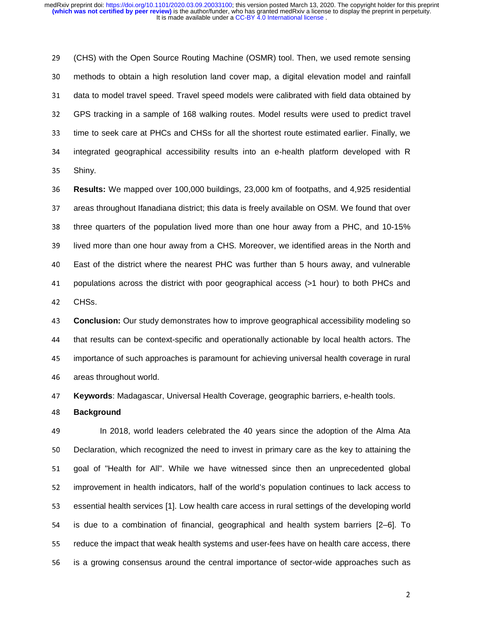29 (CHS) with the Open Source Routing Machine (OSMR) tool. Then, we used remote sensing <sup>30</sup>methods to obtain a high resolution land cover map, a digital elevation model and rainfall 31 data to model travel speed. Travel speed models were calibrated with field data obtained by <sup>32</sup>GPS tracking in a sample of 168 walking routes. Model results were used to predict travel 33 time to seek care at PHCs and CHSs for all the shortest route estimated earlier. Finally, we 34 integrated geographical accessibility results into an e-health platform developed with R 35 Shiny.

<sup>36</sup>**Results:** We mapped over 100,000 buildings, 23,000 km of footpaths, and 4,925 residential 37 areas throughout Ifanadiana district; this data is freely available on OSM. We found that over 38 three quarters of the population lived more than one hour away from a PHC, and 10-15% 39 lived more than one hour away from a CHS. Moreover, we identified areas in the North and <sup>40</sup>East of the district where the nearest PHC was further than 5 hours away, and vulnerable 41 populations across the district with poor geographical access (>1 hour) to both PHCs and 42 CHSs.

<sup>43</sup>**Conclusion:** Our study demonstrates how to improve geographical accessibility modeling so 44 that results can be context-specific and operationally actionable by local health actors. The <sup>45</sup>importance of such approaches is paramount for achieving universal health coverage in rural 46 areas throughout world.

<sup>47</sup>**Keywords**: Madagascar, Universal Health Coverage, geographic barriers, e-health tools.

<sup>48</sup>**Background** 

<sup>49</sup>In 2018, world leaders celebrated the 40 years since the adoption of the Alma Ata 50 Declaration, which recognized the need to invest in primary care as the key to attaining the 51 goal of "Health for All". While we have witnessed since then an unprecedented global 52 improvement in health indicators, half of the world's population continues to lack access to 53 essential health services [1]. Low health care access in rural settings of the developing world 54 is due to a combination of financial, geographical and health system barriers [2–6]. To 55 reduce the impact that weak health systems and user-fees have on health care access, there 56 is a growing consensus around the central importance of sector-wide approaches such as

<u>2002 - Andrea Santa Andrea Santa Andrea Santa Andrea Santa Andrea Santa Andrea Santa Andrea Santa Andrea Sant</u>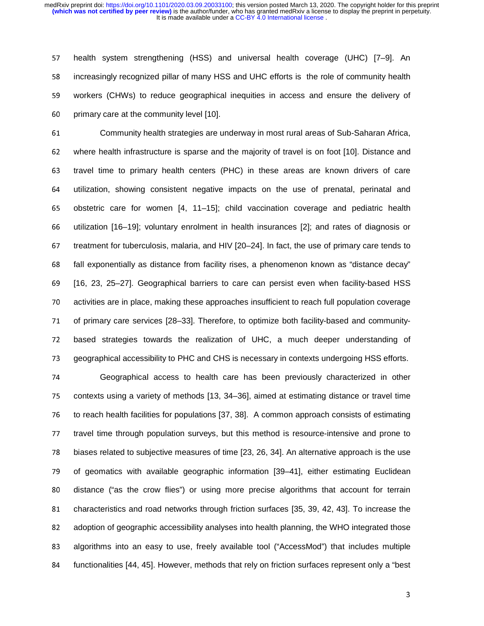57 health system strengthening (HSS) and universal health coverage (UHC) [7–9]. An 58 increasingly recognized pillar of many HSS and UHC efforts is the role of community health <sup>59</sup>workers (CHWs) to reduce geographical inequities in access and ensure the delivery of 60 primary care at the community level [10].

<sup>61</sup>Community health strategies are underway in most rural areas of Sub-Saharan Africa, 62 where health infrastructure is sparse and the majority of travel is on foot [10]. Distance and 63 travel time to primary health centers (PHC) in these areas are known drivers of care <sup>64</sup>utilization, showing consistent negative impacts on the use of prenatal, perinatal and 65 obstetric care for women [4, 11–15]; child vaccination coverage and pediatric health <sup>66</sup>utilization [16–19]; voluntary enrolment in health insurances [2]; and rates of diagnosis or 67 treatment for tuberculosis, malaria, and HIV  $[20–24]$ . In fact, the use of primary care tends to 68 fall exponentially as distance from facility rises, a phenomenon known as "distance decay" <sup>69</sup>[16, 23, 25–27]. Geographical barriers to care can persist even when facility-based HSS <sup>70</sup>activities are in place, making these approaches insufficient to reach full population coverage 71 of primary care services [28–33]. Therefore, to optimize both facility-based and community-72 based strategies towards the realization of UHC, a much deeper understanding of 73 geographical accessibility to PHC and CHS is necessary in contexts undergoing HSS efforts.

<sup>74</sup>Geographical access to health care has been previously characterized in other 75 contexts using a variety of methods [13, 34–36], aimed at estimating distance or travel time 76 to reach health facilities for populations [37, 38]. A common approach consists of estimating 77 travel time through population surveys, but this method is resource-intensive and prone to 78 biases related to subjective measures of time [23, 26, 34]. An alternative approach is the use 79 of geomatics with available geographic information [39–41], either estimating Euclidean 80 distance ("as the crow flies") or using more precise algorithms that account for terrain 81 characteristics and road networks through friction surfaces [35, 39, 42, 43]. To increase the 82 adoption of geographic accessibility analyses into health planning, the WHO integrated those 83 algorithms into an easy to use, freely available tool ("AccessMod") that includes multiple 84 functionalities [44, 45]. However, methods that rely on friction surfaces represent only a "best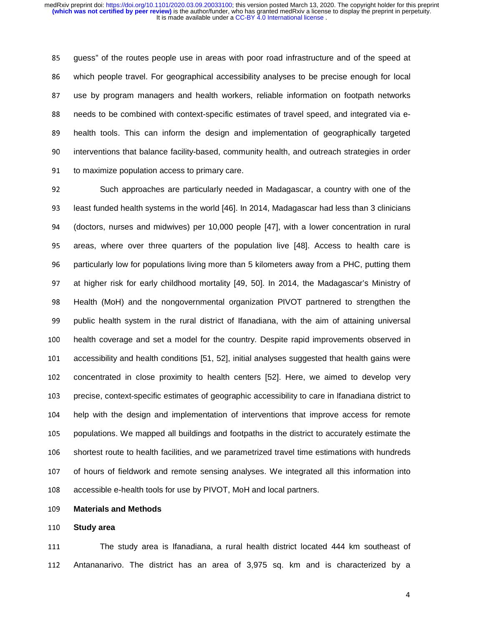85 guess" of the routes people use in areas with poor road infrastructure and of the speed at 86 which people travel. For geographical accessibility analyses to be precise enough for local 87 use by program managers and health workers, reliable information on footpath networks 88 needs to be combined with context-specific estimates of travel speed, and integrated via e-89 health tools. This can inform the design and implementation of geographically targeted 90 interventions that balance facility-based, community health, and outreach strategies in order 91 to maximize population access to primary care.

92 Such approaches are particularly needed in Madagascar, a country with one of the 93 least funded health systems in the world [46]. In 2014, Madagascar had less than 3 clinicians <sup>94</sup>(doctors, nurses and midwives) per 10,000 people [47], with a lower concentration in rural 95 areas, where over three quarters of the population live [48]. Access to health care is 96 particularly low for populations living more than 5 kilometers away from a PHC, putting them 97 at higher risk for early childhood mortality [49, 50]. In 2014, the Madagascar's Ministry of 98 Health (MoH) and the nongovernmental organization PIVOT partnered to strengthen the 99 public health system in the rural district of Ifanadiana, with the aim of attaining universal 100 health coverage and set a model for the country. Despite rapid improvements observed in 101 accessibility and health conditions [51, 52], initial analyses suggested that health gains were 102 concentrated in close proximity to health centers [52]. Here, we aimed to develop very 103 precise, context-specific estimates of geographic accessibility to care in Ifanadiana district to 104 help with the design and implementation of interventions that improve access for remote 105 populations. We mapped all buildings and footpaths in the district to accurately estimate the 106 shortest route to health facilities, and we parametrized travel time estimations with hundreds 107 of hours of fieldwork and remote sensing analyses. We integrated all this information into 108 accessible e-health tools for use by PIVOT, MoH and local partners.

## <sup>109</sup>**Materials and Methods**

#### <sup>110</sup>**Study area**

111 The study area is Ifanadiana, a rural health district located 444 km southeast of <sup>112</sup>Antananarivo. The district has an area of 3,975 sq. km and is characterized by a

**44 August 2016**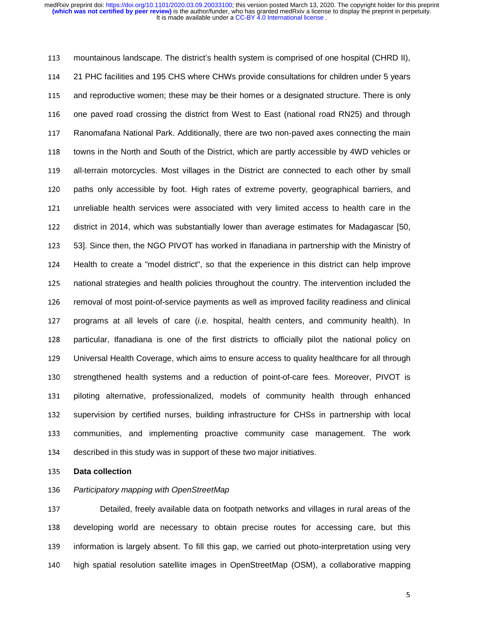113 mountainous landscape. The district's health system is comprised of one hospital (CHRD II), <sup>114</sup>21 PHC facilities and 195 CHS where CHWs provide consultations for children under 5 years 115 and reproductive women; these may be their homes or a designated structure. There is only 116 one paved road crossing the district from West to East (national road RN25) and through 117 Ranomafana National Park. Additionally, there are two non-paved axes connecting the main 118 towns in the North and South of the District, which are partly accessible by 4WD vehicles or 119 all-terrain motorcycles. Most villages in the District are connected to each other by small 120 paths only accessible by foot. High rates of extreme poverty, geographical barriers, and 121 unreliable health services were associated with very limited access to health care in the 122 district in 2014, which was substantially lower than average estimates for Madagascar [50, 123 53]. Since then, the NGO PIVOT has worked in Ifanadiana in partnership with the Ministry of 124 Health to create a "model district", so that the experience in this district can help improve 125 national strategies and health policies throughout the country. The intervention included the 126 removal of most point-of-service payments as well as improved facility readiness and clinical 127 programs at all levels of care *(i.e.* hospital, health centers, and community health). In 128 particular, Ifanadiana is one of the first districts to officially pilot the national policy on 129 Universal Health Coverage, which aims to ensure access to quality healthcare for all through 130 strengthened health systems and a reduction of point-of-care fees. Moreover, PIVOT is 131 piloting alternative, professionalized, models of community health through enhanced 132 supervision by certified nurses, building infrastructure for CHSs in partnership with local 133 communities, and implementing proactive community case management. The work 134 described in this study was in support of these two major initiatives.

<sup>135</sup>**Data collection** 

#### <sup>136</sup>*Participatory mapping with OpenStreetMap*

137 Detailed, freely available data on footpath networks and villages in rural areas of the 138 developing world are necessary to obtain precise routes for accessing care, but this 139 information is largely absent. To fill this gap, we carried out photo-interpretation using very 140 high spatial resolution satellite images in OpenStreetMap (OSM), a collaborative mapping

the contract of the contract of the contract of the contract of the contract of the contract of the contract o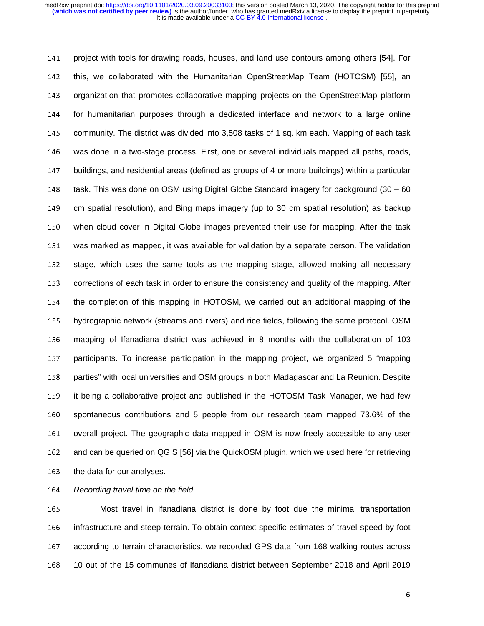141 project with tools for drawing roads, houses, and land use contours among others [54]. For 142 this, we collaborated with the Humanitarian OpenStreetMap Team (HOTOSM) [55], an 143 organization that promotes collaborative mapping projects on the OpenStreetMap platform 144 for humanitarian purposes through a dedicated interface and network to a large online 145 community. The district was divided into 3,508 tasks of 1 sq. km each. Mapping of each task 146 was done in a two-stage process. First, one or several individuals mapped all paths, roads, 147 buildings, and residential areas (defined as groups of 4 or more buildings) within a particular 148 task. This was done on OSM using Digital Globe Standard imagery for background (30 – 60) 149 cm spatial resolution), and Bing maps imagery (up to 30 cm spatial resolution) as backup 150 when cloud cover in Digital Globe images prevented their use for mapping. After the task 151 was marked as mapped, it was available for validation by a separate person. The validation 152 stage, which uses the same tools as the mapping stage, allowed making all necessary 153 corrections of each task in order to ensure the consistency and quality of the mapping. After 154 the completion of this mapping in HOTOSM, we carried out an additional mapping of the 155 hydrographic network (streams and rivers) and rice fields, following the same protocol. OSM <sup>156</sup>mapping of Ifanadiana district was achieved in 8 months with the collaboration of 103 157 participants. To increase participation in the mapping project, we organized 5 "mapping 158 parties" with local universities and OSM groups in both Madagascar and La Reunion. Despite 159 it being a collaborative project and published in the HOTOSM Task Manager, we had few 160 spontaneous contributions and 5 people from our research team mapped 73.6% of the 161 overall project. The geographic data mapped in OSM is now freely accessible to any user 162 and can be queried on QGIS [56] via the QuickOSM plugin, which we used here for retrieving 163 the data for our analyses.

<sup>164</sup>*Recording travel time on the field* 

165 Most travel in Ifanadiana district is done by foot due the minimal transportation 166 infrastructure and steep terrain. To obtain context-specific estimates of travel speed by foot 167 according to terrain characteristics, we recorded GPS data from 168 walking routes across <sup>168</sup>10 out of the 15 communes of Ifanadiana district between September 2018 and April 2019

**6** For the contract of the contract of the contract of the contract of the contract of the contract of the contract of the contract of the contract of the contract of the contract of the contract of the contract of the co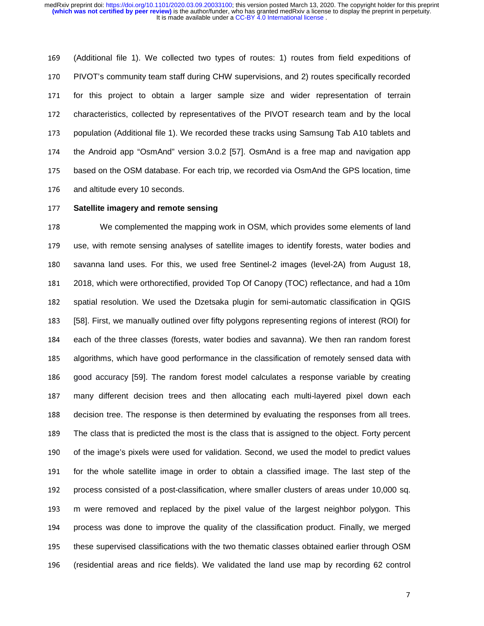<sup>169</sup>(Additional file 1). We collected two types of routes: 1) routes from field expeditions of 170 PIVOT's community team staff during CHW supervisions, and 2) routes specifically recorded 171 for this project to obtain a larger sample size and wider representation of terrain 172 characteristics, collected by representatives of the PIVOT research team and by the local 173 population (Additional file 1). We recorded these tracks using Samsung Tab A10 tablets and 174 the Android app "OsmAnd" version 3.0.2 [57]. OsmAnd is a free map and navigation app 175 based on the OSM database. For each trip, we recorded via OsmAnd the GPS location, time 176 and altitude every 10 seconds.

# <sup>177</sup>**Satellite imagery and remote sensing**

<sup>178</sup>We complemented the mapping work in OSM, which provides some elements of land 179 use, with remote sensing analyses of satellite images to identify forests, water bodies and 180 savanna land uses. For this, we used free Sentinel-2 images (level-2A) from August 18, 181 2018, which were orthorectified, provided Top Of Canopy (TOC) reflectance, and had a 10m 182 spatial resolution. We used the Dzetsaka plugin for semi-automatic classification in QGIS <sup>183</sup>[58]. First, we manually outlined over fifty polygons representing regions of interest (ROI) for 184 each of the three classes (forests, water bodies and savanna). We then ran random forest 185 algorithms, which have good performance in the classification of remotely sensed data with 186 good accuracy [59]. The random forest model calculates a response variable by creating 187 many different decision trees and then allocating each multi-layered pixel down each 188 decision tree. The response is then determined by evaluating the responses from all trees. 189 The class that is predicted the most is the class that is assigned to the object. Forty percent 190 of the image's pixels were used for validation. Second, we used the model to predict values 191 for the whole satellite image in order to obtain a classified image. The last step of the 192 process consisted of a post-classification, where smaller clusters of areas under 10,000 sq. 193 m were removed and replaced by the pixel value of the largest neighbor polygon. This 194 process was done to improve the quality of the classification product. Finally, we merged 195 these supervised classifications with the two thematic classes obtained earlier through OSM <sup>196</sup>(residential areas and rice fields). We validated the land use map by recording 62 control

the contract of the contract of the contract of the contract of the contract of the contract of the contract o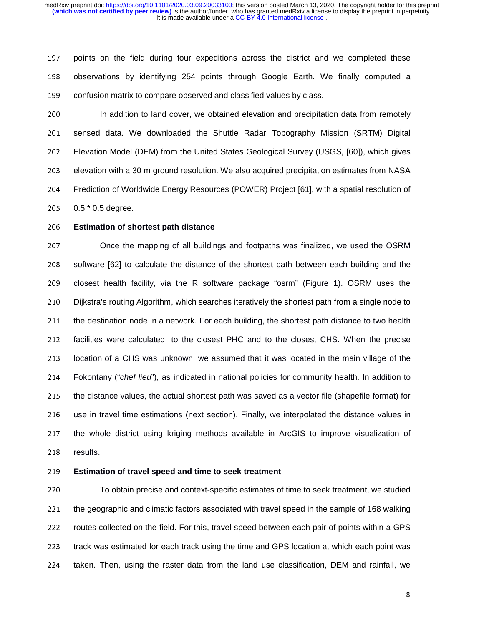197 points on the field during four expeditions across the district and we completed these 198 observations by identifying 254 points through Google Earth. We finally computed a 199 confusion matrix to compare observed and classified values by class.

200 In addition to land cover, we obtained elevation and precipitation data from remotely 201 sensed data. We downloaded the Shuttle Radar Topography Mission (SRTM) Digital <sup>202</sup>Elevation Model (DEM) from the United States Geological Survey (USGS, [60]), which gives 203 elevation with a 30 m ground resolution. We also acquired precipitation estimates from NASA 204 Prediction of Worldwide Energy Resources (POWER) Project [61], with a spatial resolution of 205  $0.5 * 0.5$  degree.

## <sup>206</sup>**Estimation of shortest path distance**

207 Chice the mapping of all buildings and footpaths was finalized, we used the OSRM 208 software [62] to calculate the distance of the shortest path between each building and the 209 closest health facility, via the R software package "osrm" (Figure 1). OSRM uses the 210 Dijkstra's routing Algorithm, which searches iteratively the shortest path from a single node to 211 the destination node in a network. For each building, the shortest path distance to two health 212 facilities were calculated: to the closest PHC and to the closest CHS. When the precise 213 Iocation of a CHS was unknown, we assumed that it was located in the main village of the <sup>214</sup>Fokontany ("*chef lieu*"), as indicated in national policies for community health. In addition to 215 the distance values, the actual shortest path was saved as a vector file (shapefile format) for 216 use in travel time estimations (next section). Finally, we interpolated the distance values in 217 the whole district using kriging methods available in ArcGIS to improve visualization of 218 results.

#### <sup>219</sup>**Estimation of travel speed and time to seek treatment**

220 To obtain precise and context-specific estimates of time to seek treatment, we studied 221 the geographic and climatic factors associated with travel speed in the sample of 168 walking 222 routes collected on the field. For this, travel speed between each pair of points within a GPS 223 track was estimated for each track using the time and GPS location at which each point was 224 taken. Then, using the raster data from the land use classification, DEM and rainfall, we

and the state of the state of the state of the state of the state of the state of the state of the state of th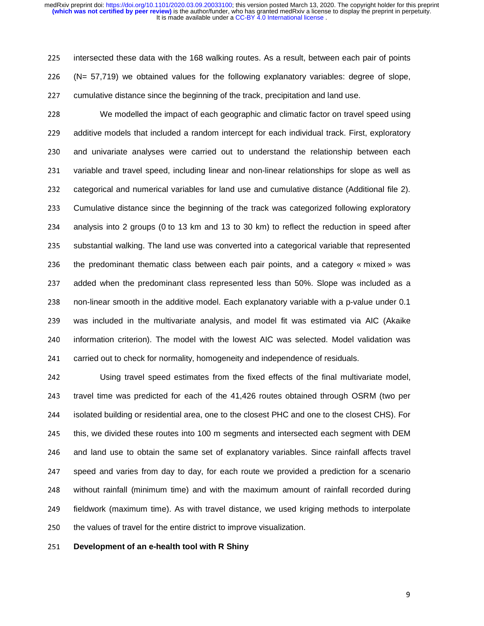225 intersected these data with the 168 walking routes. As a result, between each pair of points <sup>226</sup>(N= 57,719) we obtained values for the following explanatory variables: degree of slope, 227 cumulative distance since the beginning of the track, precipitation and land use.

<sup>228</sup>We modelled the impact of each geographic and climatic factor on travel speed using 229 additive models that included a random intercept for each individual track. First, exploratory 230 and univariate analyses were carried out to understand the relationship between each 231 variable and travel speed, including linear and non-linear relationships for slope as well as 232 categorical and numerical variables for land use and cumulative distance (Additional file 2). 233 Cumulative distance since the beginning of the track was categorized following exploratory 234 analysis into 2 groups (0 to 13 km and 13 to 30 km) to reflect the reduction in speed after 235 substantial walking. The land use was converted into a categorical variable that represented 236 the predominant thematic class between each pair points, and a category « mixed » was 237 added when the predominant class represented less than 50%. Slope was included as a 238 non-linear smooth in the additive model. Each explanatory variable with a p-value under 0.1 239 was included in the multivariate analysis, and model fit was estimated via AIC (Akaike 240 information criterion). The model with the lowest AIC was selected. Model validation was 241 carried out to check for normality, homogeneity and independence of residuals.

242 Using travel speed estimates from the fixed effects of the final multivariate model, 243 travel time was predicted for each of the 41,426 routes obtained through OSRM (two per 244 isolated building or residential area, one to the closest PHC and one to the closest CHS). For 245 this, we divided these routes into 100 m segments and intersected each segment with DEM 246 and land use to obtain the same set of explanatory variables. Since rainfall affects travel 247 speed and varies from day to day, for each route we provided a prediction for a scenario 248 without rainfall (minimum time) and with the maximum amount of rainfall recorded during 249 fieldwork (maximum time). As with travel distance, we used kriging methods to interpolate 250 the values of travel for the entire district to improve visualization.

#### <sup>251</sup>**Development of an e-health tool with R Shiny**

**99 September 2004**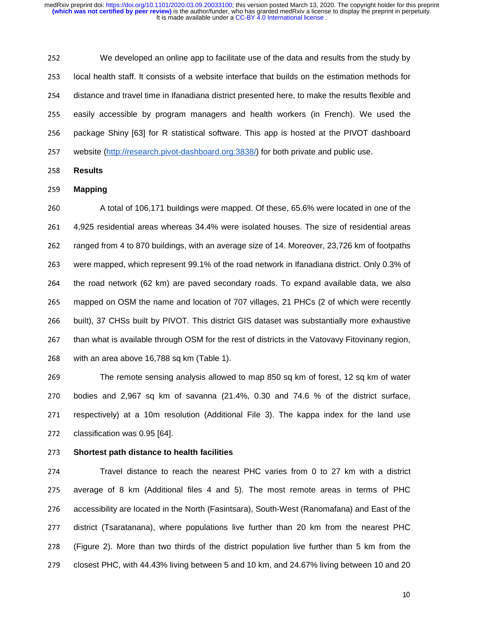<sup>252</sup>We developed an online app to facilitate use of the data and results from the study by 253 local health staff. It consists of a website interface that builds on the estimation methods for 254 distance and travel time in Ifanadiana district presented here, to make the results flexible and 255 easily accessible by program managers and health workers (in French). We used the 256 package Shiny [63] for R statistical software. This app is hosted at the PIVOT dashboard 257 website (http://research.pivot-dashboard.org:3838/) for both private and public use.

<sup>258</sup>**Results** 

#### <sup>259</sup>**Mapping**

260 A total of 106,171 buildings were mapped. Of these, 65.6% were located in one of the <sup>261</sup>4,925 residential areas whereas 34.4% were isolated houses. The size of residential areas 262 ranged from 4 to 870 buildings, with an average size of 14. Moreover, 23,726 km of footpaths 263 were mapped, which represent 99.1% of the road network in Ifanadiana district. Only 0.3% of 264 the road network (62 km) are paved secondary roads. To expand available data, we also 265 mapped on OSM the name and location of 707 villages, 21 PHCs (2 of which were recently 266 built), 37 CHSs built by PIVOT. This district GIS dataset was substantially more exhaustive 267 than what is available through OSM for the rest of districts in the Vatovavy Fitovinany region, 268 with an area above 16,788 sq km (Table 1).

269 The remote sensing analysis allowed to map 850 sq km of forest, 12 sq km of water 270 bodies and 2,967 sq km of savanna  $(21.4\% , 0.30$  and  $74.6 %$  of the district surface, 271 respectively) at a 10m resolution (Additional File 3). The kappa index for the land use 272 classification was 0.95 [64].

#### <sup>273</sup>**Shortest path distance to health facilities**

274 Travel distance to reach the nearest PHC varies from 0 to 27 km with a district 275 average of 8 km (Additional files 4 and 5). The most remote areas in terms of PHC 276 accessibility are located in the North (Fasintsara), South-West (Ranomafana) and East of the 277 district (Tsaratanana), where populations live further than 20 km from the nearest PHC 278 (Figure 2). More than two thirds of the district population live further than 5 km from the 279 closest PHC, with 44.43% living between 5 and 10 km, and 24.67% living between 10 and 20

<u>100 - Jan James James James James James James James James James James James James James James James James Jam</u>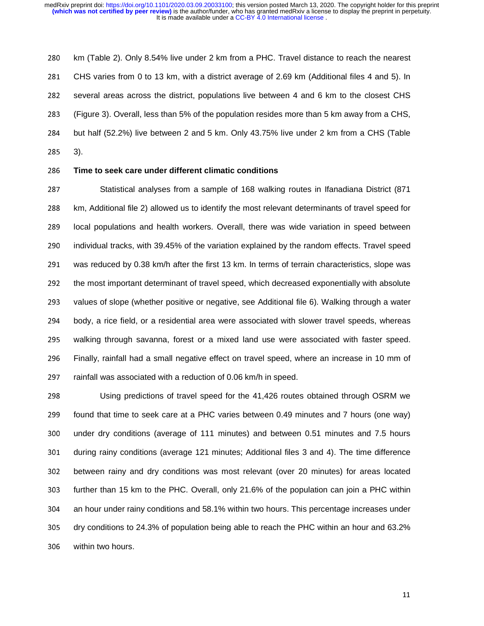280 km (Table 2). Only 8.54% live under 2 km from a PHC. Travel distance to reach the nearest 281 CHS varies from 0 to 13 km, with a district average of 2.69 km (Additional files 4 and 5). In 282 several areas across the district, populations live between 4 and 6 km to the closest CHS 283 (Figure 3). Overall, less than 5% of the population resides more than 5 km away from a CHS, 284 but half (52.2%) live between 2 and 5 km. Only 43.75% live under 2 km from a CHS (Table <sup>285</sup>3).

#### <sup>286</sup>**Time to seek care under different climatic conditions**

287 Statistical analyses from a sample of 168 walking routes in Ifanadiana District (871 288 km, Additional file 2) allowed us to identify the most relevant determinants of travel speed for 289 local populations and health workers. Overall, there was wide variation in speed between 290 individual tracks, with 39.45% of the variation explained by the random effects. Travel speed 291 was reduced by 0.38 km/h after the first 13 km. In terms of terrain characteristics, slope was 292 the most important determinant of travel speed, which decreased exponentially with absolute 293 values of slope (whether positive or negative, see Additional file 6). Walking through a water 294 body, a rice field, or a residential area were associated with slower travel speeds, whereas 295 walking through savanna, forest or a mixed land use were associated with faster speed. 296 Finally, rainfall had a small negative effect on travel speed, where an increase in 10 mm of 297 rainfall was associated with a reduction of 0.06 km/h in speed.

298 Using predictions of travel speed for the 41,426 routes obtained through OSRM we 299 found that time to seek care at a PHC varies between 0.49 minutes and 7 hours (one way) 300 under dry conditions (average of 111 minutes) and between 0.51 minutes and 7.5 hours 301 during rainy conditions (average 121 minutes; Additional files 3 and 4). The time difference 302 between rainy and dry conditions was most relevant (over 20 minutes) for areas located 303 further than 15 km to the PHC. Overall, only 21.6% of the population can join a PHC within 304 an hour under rainy conditions and 58.1% within two hours. This percentage increases under 305 dry conditions to 24.3% of population being able to reach the PHC within an hour and 63.2% 306 within two hours.

<u>111 - Johann John Stein, marwolaethau (b. 111 - 112 - 112 - 112 - 112 - 112 - 112 - 112 - 112 - 112 - 112 - 1</u>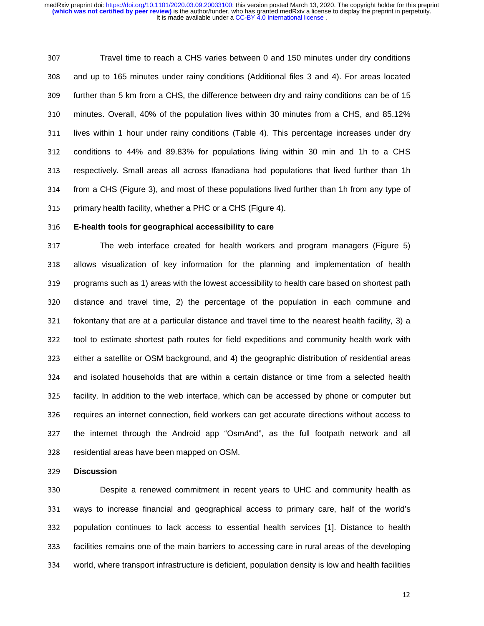307 Travel time to reach a CHS varies between 0 and 150 minutes under dry conditions 308 and up to 165 minutes under rainy conditions (Additional files 3 and 4). For areas located 309 further than 5 km from a CHS, the difference between dry and rainy conditions can be of 15 310 minutes. Overall, 40% of the population lives within 30 minutes from a CHS, and 85.12% 311 lives within 1 hour under rainy conditions (Table 4). This percentage increases under dry 312 conditions to 44% and 89.83% for populations living within 30 min and 1h to a CHS 313 respectively. Small areas all across Ifanadiana had populations that lived further than 1h 314 from a CHS (Figure 3), and most of these populations lived further than 1h from any type of 315 primary health facility, whether a PHC or a CHS (Figure 4).

#### <sup>316</sup>**E-health tools for geographical accessibility to care**

317 The web interface created for health workers and program managers (Figure 5) 318 allows visualization of key information for the planning and implementation of health 319 programs such as 1) areas with the lowest accessibility to health care based on shortest path 320 distance and travel time, 2) the percentage of the population in each commune and  $321$  fokontany that are at a particular distance and travel time to the nearest health facility, 3) a 322 tool to estimate shortest path routes for field expeditions and community health work with 323 either a satellite or OSM background, and 4) the geographic distribution of residential areas 324 and isolated households that are within a certain distance or time from a selected health 325 facility. In addition to the web interface, which can be accessed by phone or computer but 326 requires an internet connection, field workers can get accurate directions without access to 327 the internet through the Android app "OsmAnd", as the full footpath network and all 328 residential areas have been mapped on OSM.

<sup>329</sup>**Discussion** 

330 **Despite a renewed commitment in recent years to UHC and community health as** 331 ways to increase financial and geographical access to primary care, half of the world's 332 population continues to lack access to essential health services [1]. Distance to health 333 facilities remains one of the main barriers to accessing care in rural areas of the developing 334 world, where transport infrastructure is deficient, population density is low and health facilities

12 March 2014 - An Dùbhlachd ann an Dùbhlachd ann an 12 Maintenachd ann an 12 Maintenachd an 12 Maintenachd an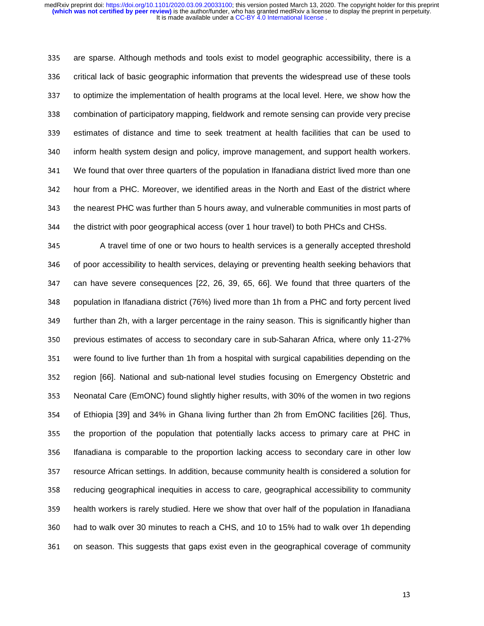335 are sparse. Although methods and tools exist to model geographic accessibility, there is a 336 critical lack of basic geographic information that prevents the widespread use of these tools 337 to optimize the implementation of health programs at the local level. Here, we show how the 338 combination of participatory mapping, fieldwork and remote sensing can provide very precise 339 estimates of distance and time to seek treatment at health facilities that can be used to 340 inform health system design and policy, improve management, and support health workers. <sup>341</sup>We found that over three quarters of the population in Ifanadiana district lived more than one 342 hour from a PHC. Moreover, we identified areas in the North and East of the district where 343 the nearest PHC was further than 5 hours away, and vulnerable communities in most parts of 344 the district with poor geographical access (over 1 hour travel) to both PHCs and CHSs.

345 A travel time of one or two hours to health services is a generally accepted threshold 346 of poor accessibility to health services, delaying or preventing health seeking behaviors that 347 can have severe consequences [22, 26, 39, 65, 66]. We found that three quarters of the 348 population in Ifanadiana district (76%) lived more than 1h from a PHC and forty percent lived 349 further than 2h, with a larger percentage in the rainy season. This is significantly higher than 350 previous estimates of access to secondary care in sub-Saharan Africa, where only 11-27% 351 were found to live further than 1h from a hospital with surgical capabilities depending on the 352 region [66]. National and sub-national level studies focusing on Emergency Obstetric and 353 Neonatal Care (EmONC) found slightly higher results, with 30% of the women in two regions 354 of Ethiopia [39] and 34% in Ghana living further than 2h from EmONC facilities [26]. Thus, 355 the proportion of the population that potentially lacks access to primary care at PHC in 356 Ifanadiana is comparable to the proportion lacking access to secondary care in other low 357 resource African settings. In addition, because community health is considered a solution for 358 reducing geographical inequities in access to care, geographical accessibility to community 359 health workers is rarely studied. Here we show that over half of the population in Ifanadiana 360 had to walk over 30 minutes to reach a CHS, and 10 to 15% had to walk over 1h depending 361 on season. This suggests that gaps exist even in the geographical coverage of community

13 March 2014 - An Dùbhlachd ann an 13mh an 13mh an 13mh an 13mh an 13mh an 13mh an 13mh an 13mh an 13mh an 13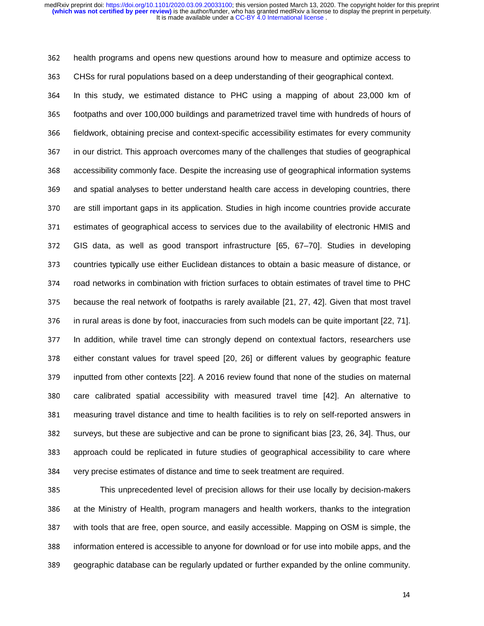362 health programs and opens new questions around how to measure and optimize access to

<sup>363</sup>CHSs for rural populations based on a deep understanding of their geographical context.

364 In this study, we estimated distance to PHC using a mapping of about 23,000 km of 365 footpaths and over 100,000 buildings and parametrized travel time with hundreds of hours of 366 fieldwork, obtaining precise and context-specific accessibility estimates for every community 367 in our district. This approach overcomes many of the challenges that studies of geographical 368 accessibility commonly face. Despite the increasing use of geographical information systems 369 and spatial analyses to better understand health care access in developing countries, there 370 are still important gaps in its application. Studies in high income countries provide accurate 371 estimates of geographical access to services due to the availability of electronic HMIS and <sup>372</sup>GIS data, as well as good transport infrastructure [65, 67–70]. Studies in developing 373 countries typically use either Euclidean distances to obtain a basic measure of distance, or 374 road networks in combination with friction surfaces to obtain estimates of travel time to PHC 375 because the real network of footpaths is rarely available [21, 27, 42]. Given that most travel 376 in rural areas is done by foot, inaccuracies from such models can be quite important [22, 71]. 377 In addition, while travel time can strongly depend on contextual factors, researchers use 378 either constant values for travel speed [20, 26] or different values by geographic feature 379 inputted from other contexts [22]. A 2016 review found that none of the studies on maternal 380 care calibrated spatial accessibility with measured travel time [42]. An alternative to 381 measuring travel distance and time to health facilities is to rely on self-reported answers in 382 surveys, but these are subjective and can be prone to significant bias [23, 26, 34]. Thus, our 383 approach could be replicated in future studies of geographical accessibility to care where 384 very precise estimates of distance and time to seek treatment are required.

385 This unprecedented level of precision allows for their use locally by decision-makers 386 at the Ministry of Health, program managers and health workers, thanks to the integration 387 with tools that are free, open source, and easily accessible. Mapping on OSM is simple, the 388 information entered is accessible to anyone for download or for use into mobile apps, and the 389 geographic database can be regularly updated or further expanded by the online community.

the contract of the contract of the contract of the contract of the contract of the contract of the contract o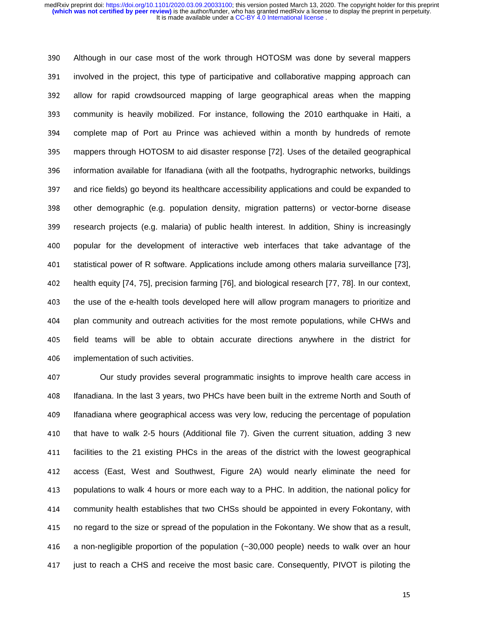390 Although in our case most of the work through HOTOSM was done by several mappers 391 involved in the project, this type of participative and collaborative mapping approach can 392 allow for rapid crowdsourced mapping of large geographical areas when the mapping 393 community is heavily mobilized. For instance, following the 2010 earthquake in Haiti, a 394 complete map of Port au Prince was achieved within a month by hundreds of remote 395 mappers through HOTOSM to aid disaster response [72]. Uses of the detailed geographical 396 information available for Ifanadiana (with all the footpaths, hydrographic networks, buildings 397 and rice fields) go beyond its healthcare accessibility applications and could be expanded to 398 other demographic (e.g. population density, migration patterns) or vector-borne disease 399 research projects (e.g. malaria) of public health interest. In addition, Shiny is increasingly 400 popular for the development of interactive web interfaces that take advantage of the 401 statistical power of R software. Applications include among others malaria surveillance [73], <sup>402</sup>health equity [74, 75], precision farming [76], and biological research [77, 78]. In our context, 403 the use of the e-health tools developed here will allow program managers to prioritize and 404 plan community and outreach activities for the most remote populations, while CHWs and 405 field teams will be able to obtain accurate directions anywhere in the district for 406 implementation of such activities.

407 **Our study provides several programmatic insights to improve health care access in** 408 Ifanadiana. In the last 3 years, two PHCs have been built in the extreme North and South of 409 Ifanadiana where geographical access was very low, reducing the percentage of population 410 that have to walk 2-5 hours (Additional file 7). Given the current situation, adding 3 new 411 facilities to the 21 existing PHCs in the areas of the district with the lowest geographical 412 access (East, West and Southwest, Figure 2A) would nearly eliminate the need for 413 populations to walk 4 hours or more each way to a PHC. In addition, the national policy for 414 community health establishes that two CHSs should be appointed in every Fokontany, with 415 no regard to the size or spread of the population in the Fokontany. We show that as a result, 416 a non-negligible proportion of the population  $(-30,000$  people) needs to walk over an hour 417 just to reach a CHS and receive the most basic care. Consequently, PIVOT is piloting the

15 March 2014 - An Dùbhlachd ann an Chuid ann an Chuid ann an 150 Maintenachd ann an 150 Maintenachd ann an 15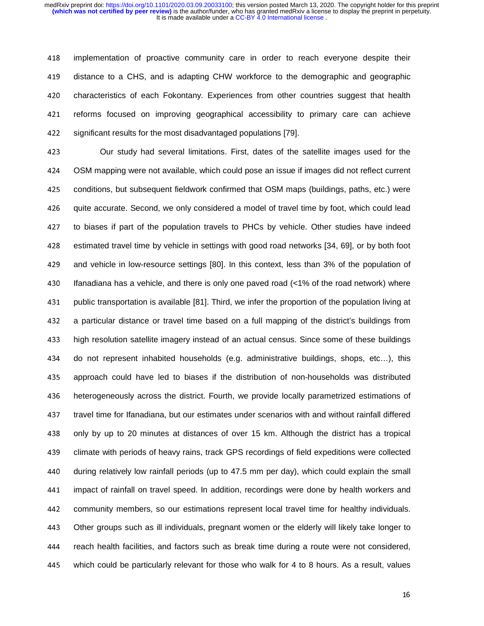418 implementation of proactive community care in order to reach everyone despite their 419 distance to a CHS, and is adapting CHW workforce to the demographic and geographic 420 characteristics of each Fokontany. Experiences from other countries suggest that health 421 reforms focused on improving geographical accessibility to primary care can achieve 422 significant results for the most disadvantaged populations [79].

423 Our study had several limitations. First, dates of the satellite images used for the <sup>424</sup>OSM mapping were not available, which could pose an issue if images did not reflect current 425 conditions, but subsequent fieldwork confirmed that OSM maps (buildings, paths, etc.) were 426 quite accurate. Second, we only considered a model of travel time by foot, which could lead 427 to biases if part of the population travels to PHCs by vehicle. Other studies have indeed 428 estimated travel time by vehicle in settings with good road networks [34, 69], or by both foot 429 and vehicle in low-resource settings [80]. In this context, less than 3% of the population of 430 Ifanadiana has a vehicle, and there is only one paved road  $\left\langle$  <1% of the road network) where 431 public transportation is available [81]. Third, we infer the proportion of the population living at <sup>432</sup>a particular distance or travel time based on a full mapping of the district's buildings from <sup>433</sup>high resolution satellite imagery instead of an actual census. Since some of these buildings 434 do not represent inhabited households (e.g. administrative buildings, shops, etc...), this 435 approach could have led to biases if the distribution of non-households was distributed 436 heterogeneously across the district. Fourth, we provide locally parametrized estimations of 437 travel time for Ifanadiana, but our estimates under scenarios with and without rainfall differed 438 only by up to 20 minutes at distances of over 15 km. Although the district has a tropical 439 climate with periods of heavy rains, track GPS recordings of field expeditions were collected 440 during relatively low rainfall periods (up to 47.5 mm per day), which could explain the small 441 impact of rainfall on travel speed. In addition, recordings were done by health workers and 442 community members, so our estimations represent local travel time for healthy individuals. 443 Other groups such as ill individuals, pregnant women or the elderly will likely take longer to 444 reach health facilities, and factors such as break time during a route were not considered, 445 which could be particularly relevant for those who walk for 4 to 8 hours. As a result, values

16 March 2016 - An Dùbhlachd ann an Chuid ann an Chuid ann an 16 Mach 2016. Tha 16 Mach 2016 - An Dùbhlachd a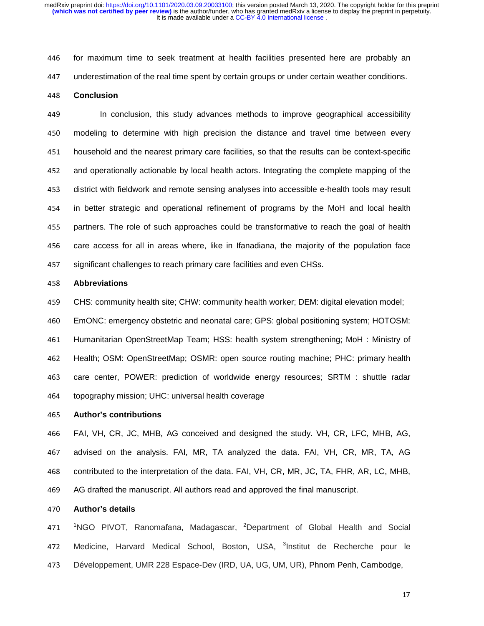446 for maximum time to seek treatment at health facilities presented here are probably an 447 underestimation of the real time spent by certain groups or under certain weather conditions.

# <sup>448</sup>**Conclusion**

<sup>449</sup>In conclusion, this study advances methods to improve geographical accessibility 450 modeling to determine with high precision the distance and travel time between every <sup>451</sup>household and the nearest primary care facilities, so that the results can be context-specific 452 and operationally actionable by local health actors. Integrating the complete mapping of the 453 district with fieldwork and remote sensing analyses into accessible e-health tools may result 454 in better strategic and operational refinement of programs by the MoH and local health 455 partners. The role of such approaches could be transformative to reach the goal of health 456 care access for all in areas where, like in Ifanadiana, the majority of the population face 457 significant challenges to reach primary care facilities and even CHSs.

#### <sup>458</sup>**Abbreviations**

<sup>459</sup>CHS: community health site; CHW: community health worker; DEM: digital elevation model;

<sup>460</sup>EmONC: emergency obstetric and neonatal care; GPS: global positioning system; HOTOSM:

461 Humanitarian OpenStreetMap Team; HSS: health system strengthening; MoH : Ministry of 462 Health; OSM: OpenStreetMap; OSMR: open source routing machine; PHC: primary health 463 care center, POWER: prediction of worldwide energy resources; SRTM : shuttle radar 464 topography mission; UHC: universal health coverage

#### <sup>465</sup>**Author's contributions**

<sup>466</sup>FAI, VH, CR, JC, MHB, AG conceived and designed the study. VH, CR, LFC, MHB, AG, 467 advised on the analysis. FAI, MR, TA analyzed the data. FAI, VH, CR, MR, TA, AG 468 contributed to the interpretation of the data. FAI, VH, CR, MR, JC, TA, FHR, AR, LC, MHB, <sup>469</sup>AG drafted the manuscript. All authors read and approved the final manuscript.

#### <sup>470</sup>**Author's details**

471 <sup>1</sup>NGO PIVOT, Ranomafana, Madagascar, <sup>2</sup>Department of Global Health and Social 472 Medicine, Harvard Medical School, Boston, USA, <sup>3</sup>Institut de Recherche pour le 473 Développement, UMR 228 Espace-Dev (IRD, UA, UG, UM, UR), Phnom Penh, Cambodge,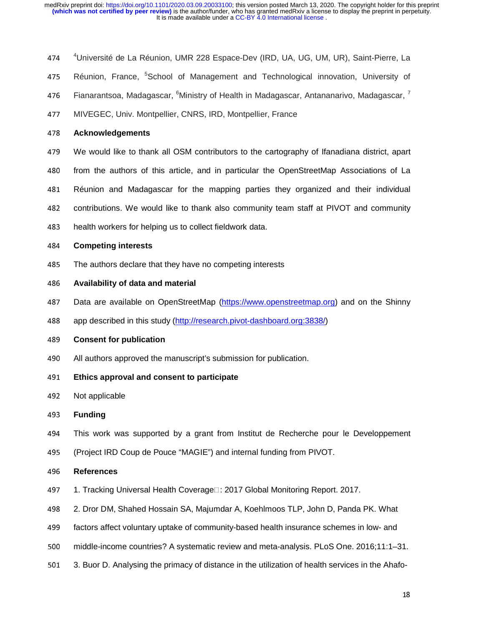- 474 <sup>4</sup>Université de La Réunion, UMR 228 Espace-Dev (IRD, UA, UG, UM, UR), Saint-Pierre, La
- 475 Réunion, France, <sup>5</sup>School of Management and Technological innovation, University of
- 476 – Fianarantsoa, Madagascar, <sup>6</sup>Ministry of Health in Madagascar, Antananarivo, Madagascar, <sup>7</sup>
- 477 MIVEGEC, Univ. Montpellier, CNRS, IRD, Montpellier, France

#### <sup>478</sup>**Acknowledgements**

- <sup>479</sup>We would like to thank all OSM contributors to the cartography of Ifanadiana district, apart
- 480 from the authors of this article, and in particular the OpenStreetMap Associations of La
- 481 Réunion and Madagascar for the mapping parties they organized and their individual
- 482 contributions. We would like to thank also community team staff at PIVOT and community
- 483 health workers for helping us to collect fieldwork data.

#### <sup>484</sup>**Competing interests**

485 The authors declare that they have no competing interests

#### <sup>486</sup>**Availability of data and material**

- 487 Data are available on OpenStreetMap (https://www.openstreetmap.org) and on the Shinny
- 488 app described in this study (http://research.pivot-dashboard.org:3838/)

#### <sup>489</sup>**Consent for publication**

- 490 All authors approved the manuscript's submission for publication.
- <sup>491</sup>**Ethics approval and consent to participate**
- 492 Not applicable
- <sup>493</sup>**Funding**
- <sup>494</sup>This work was supported by a grant from Institut de Recherche pour le Developpement
- <sup>495</sup>(Project IRD Coup de Pouce "MAGIE") and internal funding from PIVOT.

#### <sup>496</sup>**References**

- 497 1. Tracking Universal Health Coverage□: 2017 Global Monitoring Report. 2017.
- <sup>498</sup>2. Dror DM, Shahed Hossain SA, Majumdar A, Koehlmoos TLP, John D, Panda PK. What
- 499 factors affect voluntary uptake of community-based health insurance schemes in low- and
- <sup>500</sup>middle-income countries? A systematic review and meta-analysis. PLoS One. 2016;11:1–31.
- 501 3. Buor D. Analysing the primacy of distance in the utilization of health services in the Ahafo-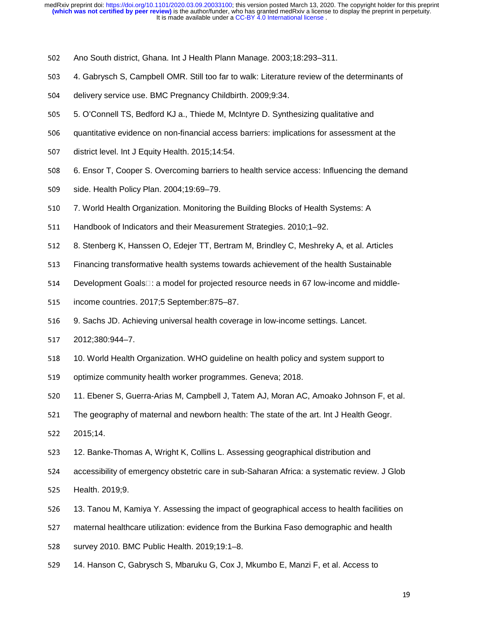- 502 Ano South district, Ghana. Int J Health Plann Manage. 2003;18:293-311.
- <sup>503</sup>4. Gabrysch S, Campbell OMR. Still too far to walk: Literature review of the determinants of
- 504 delivery service use. BMC Pregnancy Childbirth. 2009;9:34.
- <sup>505</sup>5. O'Connell TS, Bedford KJ a., Thiede M, McIntyre D. Synthesizing qualitative and
- 506 quantitative evidence on non-financial access barriers: implications for assessment at the
- 507 district level. Int J Equity Health. 2015;14:54.
- 508 6. Ensor T, Cooper S. Overcoming barriers to health service access: Influencing the demand
- 509 side. Health Policy Plan. 2004;19:69–79.
- 510 7. World Health Organization. Monitoring the Building Blocks of Health Systems: A
- 511 Handbook of Indicators and their Measurement Strategies. 2010;1–92.
- 512 8. Stenberg K, Hanssen O, Edejer TT, Bertram M, Brindley C, Meshreky A, et al. Articles
- 513 Financing transformative health systems towards achievement of the health Sustainable
- 514 Development Goals<sup>[1]</sup>: a model for projected resource needs in 67 low-income and middle-
- 515 income countries. 2017;5 September:875–87.
- <sup>516</sup>9. Sachs JD. Achieving universal health coverage in low-income settings. Lancet.
- <sup>517</sup>2012;380:944–7.
- 518 10. World Health Organization. WHO guideline on health policy and system support to
- 519 optimize community health worker programmes. Geneva; 2018.
- 520 11. Ebener S, Guerra-Arias M, Campbell J, Tatem AJ, Moran AC, Amoako Johnson F, et al.
- 521 The geography of maternal and newborn health: The state of the art. Int J Health Geogr.
- <sup>522</sup>2015;14.
- 523 12. Banke-Thomas A, Wright K, Collins L. Assessing geographical distribution and
- 524 accessibility of emergency obstetric care in sub-Saharan Africa: a systematic review. J Glob
- 525 Health. 2019;9.
- 526 13. Tanou M, Kamiya Y. Assessing the impact of geographical access to health facilities on
- 527 maternal healthcare utilization: evidence from the Burkina Faso demographic and health
- 528 survey 2010. BMC Public Health. 2019;19:1–8.
- 529 14. Hanson C, Gabrysch S, Mbaruku G, Cox J, Mkumbo E, Manzi F, et al. Access to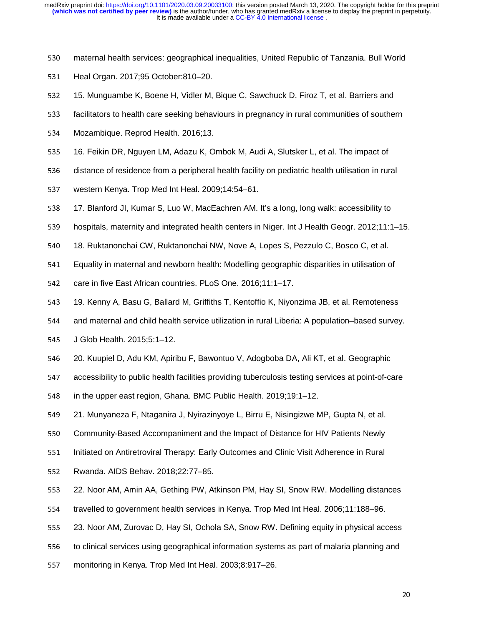- 530 maternal health services: geographical inequalities, United Republic of Tanzania. Bull World
- 531 Heal Organ. 2017;95 October:810–20.
- 532 15. Munguambe K, Boene H, Vidler M, Bique C, Sawchuck D, Firoz T, et al. Barriers and
- 533 facilitators to health care seeking behaviours in pregnancy in rural communities of southern
- 534 Mozambique. Reprod Health. 2016;13.
- 535 16. Feikin DR, Nguyen LM, Adazu K, Ombok M, Audi A, Slutsker L, et al. The impact of
- 536 distance of residence from a peripheral health facility on pediatric health utilisation in rural
- 537 western Kenya. Trop Med Int Heal. 2009;14:54–61.
- 538 17. Blanford JI, Kumar S, Luo W, MacEachren AM. It's a long, long walk: accessibility to
- 539 hospitals, maternity and integrated health centers in Niger. Int J Health Geogr. 2012;11:1–15.
- 540 18. Ruktanonchai CW, Ruktanonchai NW, Nove A, Lopes S, Pezzulo C, Bosco C, et al.
- <sup>541</sup>Equality in maternal and newborn health: Modelling geographic disparities in utilisation of
- 542 care in five East African countries. PLoS One. 2016;11:1–17.
- 543 19. Kenny A, Basu G, Ballard M, Griffiths T, Kentoffio K, Niyonzima JB, et al. Remoteness
- 544 and maternal and child health service utilization in rural Liberia: A population–based survey.
- 545 J Glob Health. 2015;5:1-12.
- 546 20. Kuupiel D, Adu KM, Apiribu F, Bawontuo V, Adogboba DA, Ali KT, et al. Geographic
- 547 accessibility to public health facilities providing tuberculosis testing services at point-of-care
- 548 in the upper east region, Ghana. BMC Public Health. 2019;19:1–12.
- 549 21. Munyaneza F, Ntaganira J, Nyirazinyoye L, Birru E, Nisingizwe MP, Gupta N, et al.
- 550 Community-Based Accompaniment and the Impact of Distance for HIV Patients Newly
- 551 Initiated on Antiretroviral Therapy: Early Outcomes and Clinic Visit Adherence in Rural
- 552 Rwanda. AIDS Behav. 2018;22:77-85.
- 553 22. Noor AM, Amin AA, Gething PW, Atkinson PM, Hay SI, Snow RW. Modelling distances
- 554 travelled to government health services in Kenya. Trop Med Int Heal. 2006;11:188–96.
- <sup>555</sup>23. Noor AM, Zurovac D, Hay SI, Ochola SA, Snow RW. Defining equity in physical access
- 556 to clinical services using geographical information systems as part of malaria planning and
- 557 monitoring in Kenya. Trop Med Int Heal. 2003;8:917–26.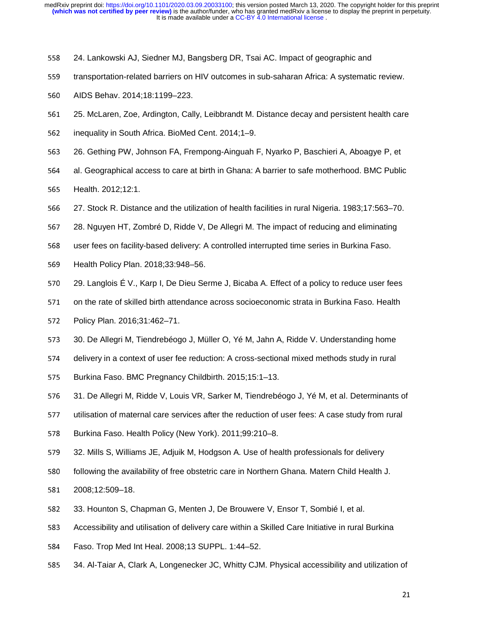- <sup>558</sup>24. Lankowski AJ, Siedner MJ, Bangsberg DR, Tsai AC. Impact of geographic and
- 559 transportation-related barriers on HIV outcomes in sub-saharan Africa: A systematic review.
- 560 AIDS Behav. 2014;18:1199-223.
- <sup>561</sup>25. McLaren, Zoe, Ardington, Cally, Leibbrandt M. Distance decay and persistent health care
- 562 inequality in South Africa. BioMed Cent. 2014;1–9.
- <sup>563</sup>26. Gething PW, Johnson FA, Frempong-Ainguah F, Nyarko P, Baschieri A, Aboagye P, et
- 564 al. Geographical access to care at birth in Ghana: A barrier to safe motherhood. BMC Public
- <sup>565</sup>Health. 2012;12:1.
- <sup>566</sup>27. Stock R. Distance and the utilization of health facilities in rural Nigeria. 1983;17:563–70.
- 567 28. Nguyen HT, Zombré D, Ridde V, De Allegri M. The impact of reducing and eliminating
- 568 user fees on facility-based delivery: A controlled interrupted time series in Burkina Faso.
- 569 Health Policy Plan. 2018;33:948-56.
- 570 29. Langlois É V., Karp I, De Dieu Serme J, Bicaba A. Effect of a policy to reduce user fees
- 571 on the rate of skilled birth attendance across socioeconomic strata in Burkina Faso. Health
- 572 Policy Plan. 2016;31:462–71.
- <sup>573</sup>30. De Allegri M, Tiendrebéogo J, Müller O, Yé M, Jahn A, Ridde V. Understanding home
- 574 delivery in a context of user fee reduction: A cross-sectional mixed methods study in rural
- 575 Burkina Faso. BMC Pregnancy Childbirth. 2015;15:1-13.
- 576 31. De Allegri M, Ridde V, Louis VR, Sarker M, Tiendrebéogo J, Yé M, et al. Determinants of
- 577 utilisation of maternal care services after the reduction of user fees: A case study from rural
- 578 Burkina Faso. Health Policy (New York). 2011;99:210–8.
- 579 32. Mills S, Williams JE, Adjuik M, Hodgson A. Use of health professionals for delivery
- 580 following the availability of free obstetric care in Northern Ghana. Matern Child Health J.
- <sup>581</sup>2008;12:509–18.
- 582 33. Hounton S, Chapman G, Menten J, De Brouwere V, Ensor T, Sombié I, et al.
- 583 Accessibility and utilisation of delivery care within a Skilled Care Initiative in rural Burkina
- 584 Faso. Trop Med Int Heal. 2008;13 SUPPL. 1:44–52.
- 585 34. Al-Taiar A, Clark A, Longenecker JC, Whitty CJM. Physical accessibility and utilization of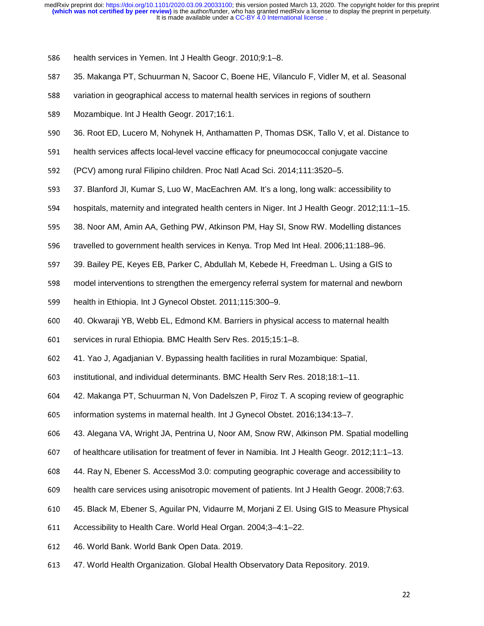586 health services in Yemen. Int J Health Geogr. 2010;9:1–8.

- 587 35. Makanga PT, Schuurman N, Sacoor C, Boene HE, Vilanculo F, Vidler M, et al. Seasonal
- 588 variation in geographical access to maternal health services in regions of southern
- 589 Mozambique. Int J Health Geogr. 2017;16:1.
- 590 36. Root ED, Lucero M, Nohynek H, Anthamatten P, Thomas DSK, Tallo V, et al. Distance to
- 591 health services affects local-level vaccine efficacy for pneumococcal conjugate vaccine
- <sup>592</sup>(PCV) among rural Filipino children. Proc Natl Acad Sci. 2014;111:3520–5.
- 593 37. Blanford JI, Kumar S, Luo W, MacEachren AM. It's a long, long walk: accessibility to
- 594 hospitals, maternity and integrated health centers in Niger. Int J Health Geogr. 2012;11:1–15.
- <sup>595</sup>38. Noor AM, Amin AA, Gething PW, Atkinson PM, Hay SI, Snow RW. Modelling distances
- 596 travelled to government health services in Kenya. Trop Med Int Heal. 2006;11:188–96.
- 597 39. Bailey PE, Keyes EB, Parker C, Abdullah M, Kebede H, Freedman L. Using a GIS to
- 598 model interventions to strengthen the emergency referral system for maternal and newborn
- 599 health in Ethiopia. Int J Gynecol Obstet. 2011;115:300-9.
- <sup>600</sup>40. Okwaraji YB, Webb EL, Edmond KM. Barriers in physical access to maternal health
- 601 services in rural Ethiopia. BMC Health Serv Res. 2015;15:1–8.
- <sup>602</sup>41. Yao J, Agadjanian V. Bypassing health facilities in rural Mozambique: Spatial,
- <sup>603</sup>institutional, and individual determinants. BMC Health Serv Res. 2018;18:1–11.
- <sup>604</sup>42. Makanga PT, Schuurman N, Von Dadelszen P, Firoz T. A scoping review of geographic
- <sup>605</sup>information systems in maternal health. Int J Gynecol Obstet. 2016;134:13–7.
- <sup>606</sup>43. Alegana VA, Wright JA, Pentrina U, Noor AM, Snow RW, Atkinson PM. Spatial modelling
- 607 of healthcare utilisation for treatment of fever in Namibia. Int J Health Geogr. 2012;11:1–13.
- <sup>608</sup>44. Ray N, Ebener S. AccessMod 3.0: computing geographic coverage and accessibility to
- 609 health care services using anisotropic movement of patients. Int J Health Geogr. 2008;7:63.
- <sup>610</sup>45. Black M, Ebener S, Aguilar PN, Vidaurre M, Morjani Z El. Using GIS to Measure Physical
- 611 Accessibility to Health Care. World Heal Organ. 2004;3–4:1–22.
- <sup>612</sup>46. World Bank. World Bank Open Data. 2019.
- <sup>613</sup>47. World Health Organization. Global Health Observatory Data Repository. 2019.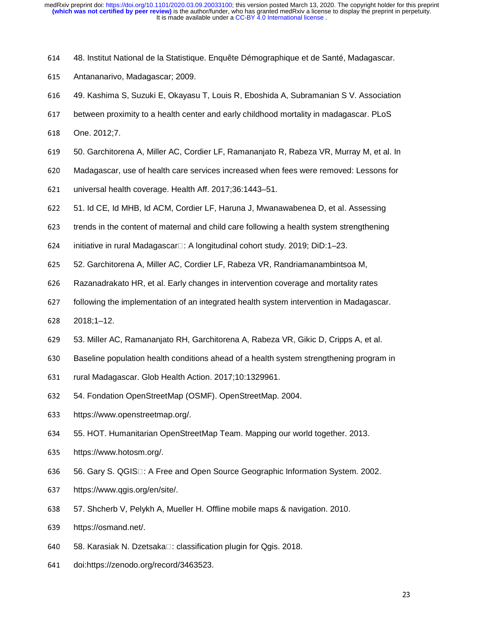- <sup>614</sup>48. Institut National de la Statistique. Enquête Démographique et de Santé, Madagascar.
- 615 Antananarivo, Madagascar; 2009.
- <sup>616</sup>49. Kashima S, Suzuki E, Okayasu T, Louis R, Eboshida A, Subramanian S V. Association
- 617 between proximity to a health center and early childhood mortality in madagascar. PLoS
- 618 One. 2012;7.
- 619 50. Garchitorena A, Miller AC, Cordier LF, Ramananjato R, Rabeza VR, Murray M, et al. In
- <sup>620</sup>Madagascar, use of health care services increased when fees were removed: Lessons for
- 621 universal health coverage. Health Aff. 2017;36:1443–51.
- 622 51. Id CE, Id MHB, Id ACM, Cordier LF, Haruna J, Mwanawabenea D, et al. Assessing
- 623 trends in the content of maternal and child care following a health system strengthening
- 624 initiative in rural Madagascar $\Box$ : A longitudinal cohort study. 2019; DiD:1–23.
- <sup>625</sup>52. Garchitorena A, Miller AC, Cordier LF, Rabeza VR, Randriamanambintsoa M,
- 626 Razanadrakato HR, et al. Early changes in intervention coverage and mortality rates
- 627 following the implementation of an integrated health system intervention in Madagascar.
- <sup>628</sup>2018;1–12.
- 629 53. Miller AC, Ramananjato RH, Garchitorena A, Rabeza VR, Gikic D, Cripps A, et al.
- 630 Baseline population health conditions ahead of a health system strengthening program in
- 631 rural Madagascar. Glob Health Action. 2017;10:1329961.
- 632 54. Fondation OpenStreetMap (OSMF). OpenStreetMap. 2004.
- 633 https://www.openstreetmap.org/.
- <sup>634</sup>55. HOT. Humanitarian OpenStreetMap Team. Mapping our world together. 2013.
- 635 https://www.hotosm.org/.
- 636 56. Gary S. QGIS $\Box$ : A Free and Open Source Geographic Information System. 2002.
- 637 https://www.qgis.org/en/site/.
- <sup>638</sup>57. Shcherb V, Pelykh A, Mueller H. Offline mobile maps & navigation. 2010.
- 639 https://osmand.net/.
- 640 58. Karasiak N. Dzetsaka□: classification plugin for Qgis. 2018.
- 641 doi:https://zenodo.org/record/3463523.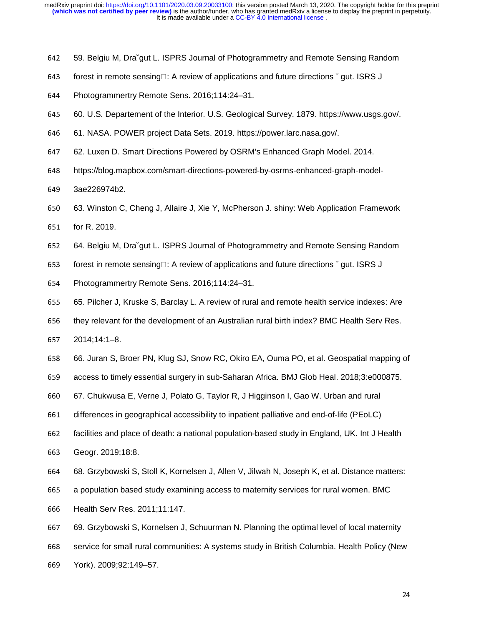- 642 59. Belgiu M, Dračqut L. ISPRS Journal of Photogrammetry and Remote Sensing Random
- 643 forest in remote sensing $\Box$ : A review of applications and future directions  $\check{\;}$  gut. ISRS J
- 644 Photogrammertry Remote Sens. 2016;114:24-31.
- <sup>645</sup>60. U.S. Departement of the Interior. U.S. Geological Survey. 1879. https://www.usgs.gov/.
- <sup>646</sup>61. NASA. POWER project Data Sets. 2019. https://power.larc.nasa.gov/.
- <sup>647</sup>62. Luxen D. Smart Directions Powered by OSRM's Enhanced Graph Model. 2014.
- 648 https://blog.mapbox.com/smart-directions-powered-by-osrms-enhanced-graph-model-
- 649 3ae226974b2.
- <sup>650</sup>63. Winston C, Cheng J, Allaire J, Xie Y, McPherson J. shiny: Web Application Framework
- 651 for R. 2019.
- <sup>652</sup>64. Belgiu M, Dra˘gut L. ISPRS Journal of Photogrammetry and Remote Sensing Random
- 653 forest in remote sensing□: A review of applications and future directions  $\check{ }$  gut. ISRS J
- 654 Photogrammertry Remote Sens. 2016;114:24–31.
- <sup>655</sup>65. Pilcher J, Kruske S, Barclay L. A review of rural and remote health service indexes: Are
- 656 they relevant for the development of an Australian rural birth index? BMC Health Serv Res.
- <sup>657</sup>2014;14:1–8.
- <sup>658</sup>66. Juran S, Broer PN, Klug SJ, Snow RC, Okiro EA, Ouma PO, et al. Geospatial mapping of
- 659 access to timely essential surgery in sub-Saharan Africa. BMJ Glob Heal. 2018;3:e000875.
- <sup>660</sup>67. Chukwusa E, Verne J, Polato G, Taylor R, J Higginson I, Gao W. Urban and rural
- 661 differences in geographical accessibility to inpatient palliative and end-of-life (PEoLC)
- 662 facilities and place of death: a national population-based study in England, UK. Int J Health
- 663 Geogr. 2019;18:8.
- 664 68. Grzybowski S, Stoll K, Kornelsen J, Allen V, Jilwah N, Joseph K, et al. Distance matters:
- 665 a population based study examining access to maternity services for rural women. BMC
- <sup>666</sup>Health Serv Res. 2011;11:147.
- <sup>667</sup>69. Grzybowski S, Kornelsen J, Schuurman N. Planning the optimal level of local maternity
- 668 service for small rural communities: A systems study in British Columbia. Health Policy (New
- <sup>669</sup>York). 2009;92:149–57.

24 - Paul Barbara, Amerikaansk politiker († 1872)<br>24 - Julie Barbara, frysk politiker († 1805)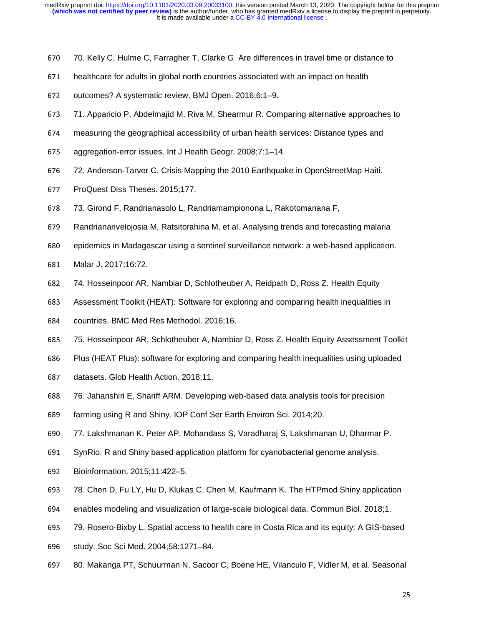- 670 70. Kelly C, Hulme C, Farragher T, Clarke G. Are differences in travel time or distance to
- 671 healthcare for adults in global north countries associated with an impact on health
- 672 outcomes? A systematic review. BMJ Open. 2016;6:1–9.
- <sup>673</sup>71. Apparicio P, Abdelmajid M, Riva M, Shearmur R. Comparing alternative approaches to
- <sup>674</sup>measuring the geographical accessibility of urban health services: Distance types and
- 675 aggregation-error issues. Int J Health Geogr. 2008;7:1–14.
- 676 72. Anderson-Tarver C. Crisis Mapping the 2010 Earthquake in OpenStreetMap Haiti.
- 677 ProQuest Diss Theses. 2015;177.
- <sup>678</sup>73. Girond F, Randrianasolo L, Randriamampionona L, Rakotomanana F,
- 679 Randrianarivelojosia M, Ratsitorahina M, et al. Analysing trends and forecasting malaria
- 680 epidemics in Madagascar using a sentinel surveillance network: a web-based application.
- 681 Malar J. 2017;16:72.
- <sup>682</sup>74. Hosseinpoor AR, Nambiar D, Schlotheuber A, Reidpath D, Ross Z. Health Equity
- 683 Assessment Toolkit (HEAT): Software for exploring and comparing health inequalities in
- 684 countries. BMC Med Res Methodol. 2016;16.
- <sup>685</sup>75. Hosseinpoor AR, Schlotheuber A, Nambiar D, Ross Z. Health Equity Assessment Toolkit
- 686 Plus (HEAT Plus): software for exploring and comparing health inequalities using uploaded
- 687 datasets. Glob Health Action. 2018;11.
- <sup>688</sup>76. Jahanshiri E, Shariff ARM. Developing web-based data analysis tools for precision
- 689 farming using R and Shiny. IOP Conf Ser Earth Environ Sci. 2014;20.
- <sup>690</sup>77. Lakshmanan K, Peter AP, Mohandass S, Varadharaj S, Lakshmanan U, Dharmar P.
- 691 SynRio: R and Shiny based application platform for cyanobacterial genome analysis.
- <sup>692</sup>Bioinformation. 2015;11:422–5.
- 693 78. Chen D, Fu LY, Hu D, Klukas C, Chen M, Kaufmann K. The HTPmod Shiny application
- 694 enables modeling and visualization of large-scale biological data. Commun Biol. 2018;1.
- <sup>695</sup>79. Rosero-Bixby L. Spatial access to health care in Costa Rica and its equity: A GIS-based
- 696 study. Soc Sci Med. 2004;58:1271–84.
- 697 80. Makanga PT, Schuurman N, Sacoor C, Boene HE, Vilanculo F, Vidler M, et al. Seasonal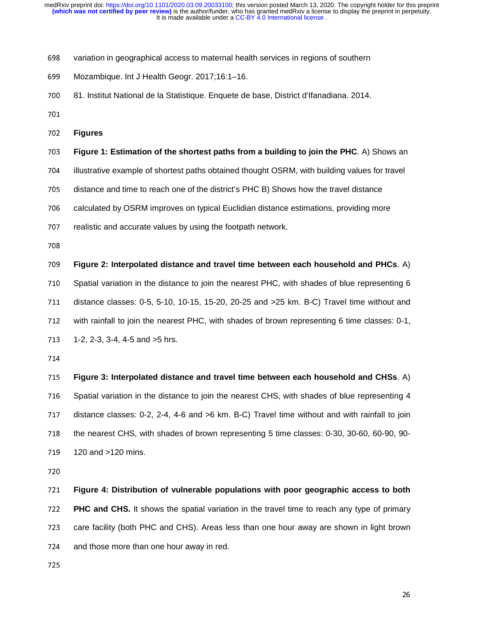- 698 variation in geographical access to maternal health services in regions of southern
- 699 Mozambique. Int J Health Geogr. 2017;16:1-16.
- <sup>700</sup>81. Institut National de la Statistique. Enquete de base, District d'Ifanadiana. 2014.
- 
- <sup>702</sup>**Figures**
- <sup>703</sup>**Figure 1: Estimation of the shortest paths from a building to join the PHC**. A) Shows an
- 704 illustrative example of shortest paths obtained thought OSRM, with building values for travel
- 705 distance and time to reach one of the district's PHC B) Shows how the travel distance
- 706 calculated by OSRM improves on typical Euclidian distance estimations, providing more
- 707 realistic and accurate values by using the footpath network.
- 

<sup>709</sup>**Figure 2: Interpolated distance and travel time between each household and PHCs**. A) 710 Spatial variation in the distance to join the nearest PHC, with shades of blue representing 6 711 distance classes: 0-5, 5-10, 10-15, 15-20, 20-25 and >25 km. B-C) Travel time without and 712 with rainfall to join the nearest PHC, with shades of brown representing 6 time classes: 0-1, 713 1-2, 2-3, 3-4, 4-5 and >5 hrs.

<sup>715</sup>**Figure 3: Interpolated distance and travel time between each household and CHSs**. A) 716 Spatial variation in the distance to join the nearest CHS, with shades of blue representing 4 717 distance classes: 0-2, 2-4, 4-6 and >6 km. B-C) Travel time without and with rainfall to join 718 the nearest CHS, with shades of brown representing 5 time classes: 0-30, 30-60, 60-90, 90-719 120 and >120 mins.

<sup>721</sup>**Figure 4: Distribution of vulnerable populations with poor geographic access to both**  <sup>722</sup>**PHC and CHS.** It shows the spatial variation in the travel time to reach any type of primary 723 care facility (both PHC and CHS). Areas less than one hour away are shown in light brown 724 and those more than one hour away in red.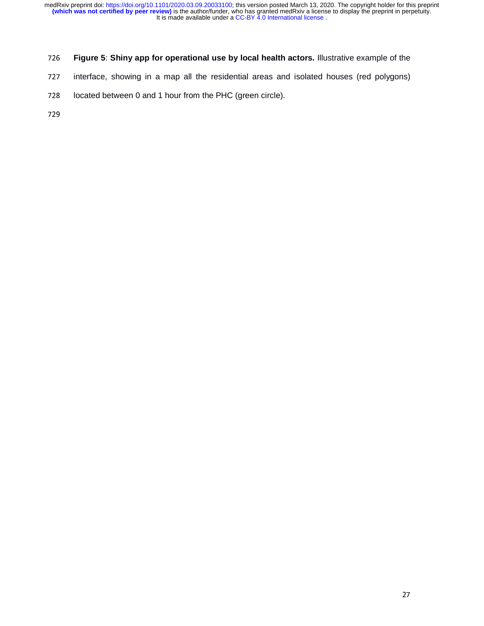# <sup>726</sup>**Figure 5**: **Shiny app for operational use by local health actors.** Illustrative example of the

- 727 interface, showing in a map all the residential areas and isolated houses (red polygons)
- 728 located between 0 and 1 hour from the PHC (green circle).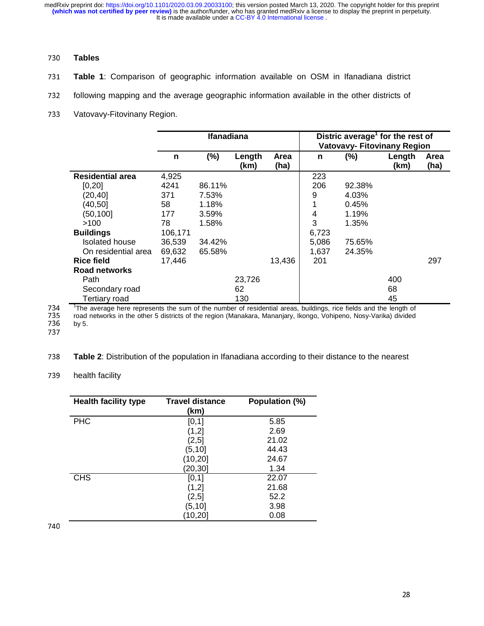# <sup>730</sup>**Tables**

- <sup>731</sup>**Table 1**: Comparison of geographic information available on OSM in Ifanadiana district
- 732 following mapping and the average geographic information available in the other districts of
- 733 Vatovavy-Fitovinany Region.

|                         |         | <b>Ifanadiana</b> |                |              | Distric average <sup>1</sup> for the rest of<br><b>Vatovavy- Fitovinany Region</b> |        |                |              |
|-------------------------|---------|-------------------|----------------|--------------|------------------------------------------------------------------------------------|--------|----------------|--------------|
|                         | n       | $(\%)$            | Length<br>(km) | Area<br>(ha) | n                                                                                  | (%)    | Length<br>(km) | Area<br>(ha) |
| <b>Residential area</b> | 4,925   |                   |                |              | 223                                                                                |        |                |              |
| [0, 20]                 | 4241    | 86.11%            |                |              | 206                                                                                | 92.38% |                |              |
| (20, 40]                | 371     | 7.53%             |                |              | 9                                                                                  | 4.03%  |                |              |
| (40, 50]                | 58      | 1.18%             |                |              |                                                                                    | 0.45%  |                |              |
| (50, 100]               | 177     | 3.59%             |                |              | 4                                                                                  | 1.19%  |                |              |
| >100                    | 78      | 1.58%             |                |              | 3                                                                                  | 1.35%  |                |              |
| <b>Buildings</b>        | 106,171 |                   |                |              | 6,723                                                                              |        |                |              |
| <b>Isolated house</b>   | 36,539  | 34.42%            |                |              | 5,086                                                                              | 75.65% |                |              |
| On residential area     | 69,632  | 65.58%            |                |              | 1,637                                                                              | 24.35% |                |              |
| <b>Rice field</b>       | 17,446  |                   |                | 13,436       | 201                                                                                |        |                | 297          |
| Road networks           |         |                   |                |              |                                                                                    |        |                |              |
| Path                    |         |                   | 23,726         |              |                                                                                    |        | 400            |              |
| Secondary road          |         |                   | 62             |              |                                                                                    |        | 68             |              |
| <b>Tertiary road</b>    |         |                   | 130            |              |                                                                                    |        | 45             |              |

<sup>1</sup>The average here represents the sum of the number of residential areas, buildings, rice fields and the length of 734 'The average here represents the sum of the number of residential areas, buildings, rice fields and the length of<br>735 road networks in the other 5 districts of the region (Manakara. Mananiarv. Ikongo. Vohipeno 735 road networks in the other 5 districts of the region (Manakara, Mananjary, Ikongo, Vohipeno, Nosy-Varika) divided<br>736 bv 5. 735 road<br>736 by 5.<br>737

<sup>738</sup>**Table 2**: Distribution of the population in Ifanadiana according to their distance to the nearest

# 739 health facility

| <b>Health facility type</b> | <b>Travel distance</b><br>(km) | Population (%) |
|-----------------------------|--------------------------------|----------------|
| <b>PHC</b>                  | [0, 1]                         | 5.85           |
|                             | (1,2]                          | 2.69           |
|                             | (2, 5)                         | 21.02          |
|                             | (5, 10]                        | 44.43          |
|                             | (10, 20]                       | 24.67          |
|                             | [20,30]                        | 1.34           |
| <b>CHS</b>                  | [0, 1]                         | 22.07          |
|                             | (1,2]                          | 21.68          |
|                             | (2, 5]                         | 52.2           |
|                             | (5, 10]                        | 3.98           |
|                             | 10,201                         | 0.08           |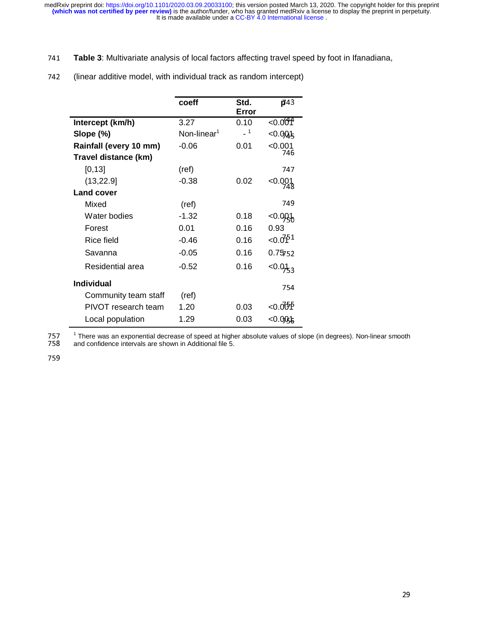<sup>741</sup>**Table 3**: Multivariate analysis of local factors affecting travel speed by foot in Ifanadiana,

|                        | coeff                   | Std.<br>Error | $\overline{p}$ 43    |
|------------------------|-------------------------|---------------|----------------------|
| Intercept (km/h)       | 3.27                    | 0.10          | < 0.0004             |
| Slope (%)              | Non-linear <sup>1</sup> | $-1$          | $<$ 0.00 $+$         |
| Rainfall (every 10 mm) | $-0.06$                 | 0.01          | <0.001               |
| Travel distance (km)   |                         |               | 746                  |
| [0, 13]                | (ref)                   |               | 747                  |
| (13, 22.9)             | $-0.38$                 | 0.02          | $< 0.001$<br>748     |
| <b>Land cover</b>      |                         |               |                      |
| Mixed                  | (ref)                   |               | 749                  |
| Water bodies           | $-1.32$                 | 0.18          | $-0.0936$            |
| Forest                 | 0.01                    | 0.16          | 0.93                 |
| Rice field             | $-0.46$                 | 0.16          | < 0.0751             |
| Savanna                | $-0.05$                 | 0.16          | 0.75752              |
| Residential area       | $-0.52$                 | 0.16          | < 0.01 <sub>33</sub> |
| <b>Individual</b>      |                         |               | 754                  |
| Community team staff   | (ref)                   |               |                      |
| PIVOT research team    | 1.20                    | 0.03          | <0.00 ዎ              |
| Local population       | 1.29                    | 0.03          | <0.00\$              |

742 (linear additive model, with individual track as random intercept)

Local population 1.29 0.03 <0.000}<br>1 There was an exponential decrease of speed at higher absolute values of slope (in degrees). Non-linear smooth<br>158 and confidence intervals are shown in Additional file 5. 758 and confidence intervals are shown in Additional file 5.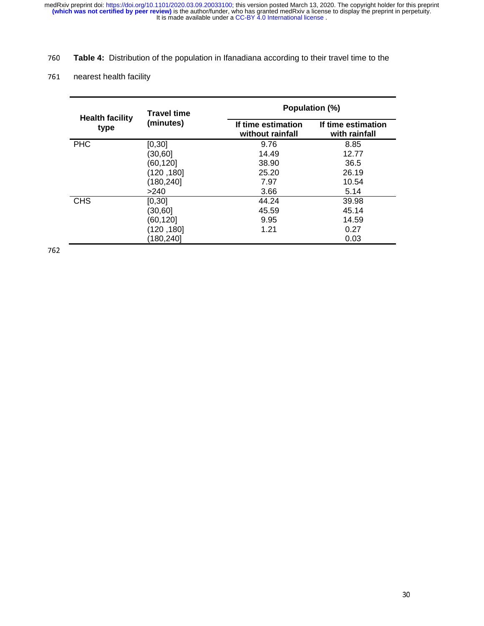# <sup>760</sup>**Table 4:** Distribution of the population in Ifanadiana according to their travel time to the

# 761 nearest health facility

|                                | <b>Travel time</b> | Population (%)                         |                                     |  |  |
|--------------------------------|--------------------|----------------------------------------|-------------------------------------|--|--|
| <b>Health facility</b><br>type | (minutes)          | If time estimation<br>without rainfall | If time estimation<br>with rainfall |  |  |
| <b>PHC</b>                     | [0, 30]            | 9.76                                   | 8.85                                |  |  |
|                                | (30,60)            | 14.49                                  | 12.77                               |  |  |
|                                | (60,120]           | 38.90                                  | 36.5                                |  |  |
|                                | (120 ,180)         | 25.20                                  | 26.19                               |  |  |
|                                | (180, 240]         | 7.97                                   | 10.54                               |  |  |
|                                | >240               | 3.66                                   | 5.14                                |  |  |
| <b>CHS</b>                     | [0, 30]            | 44.24                                  | 39.98                               |  |  |
|                                | (30, 60]           | 45.59                                  | 45.14                               |  |  |
|                                | (60,1201           | 9.95                                   | 14.59                               |  |  |
|                                | 180, 120)          | 1.21                                   | 0.27                                |  |  |
|                                | 180,240]           |                                        | 0.03                                |  |  |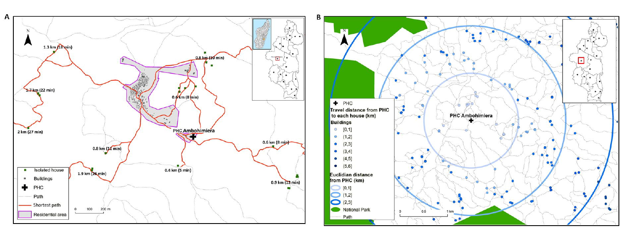

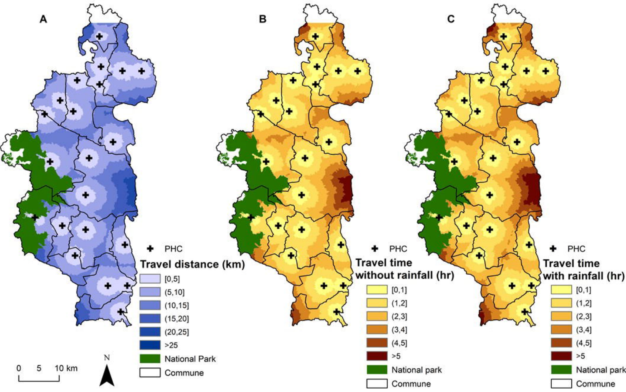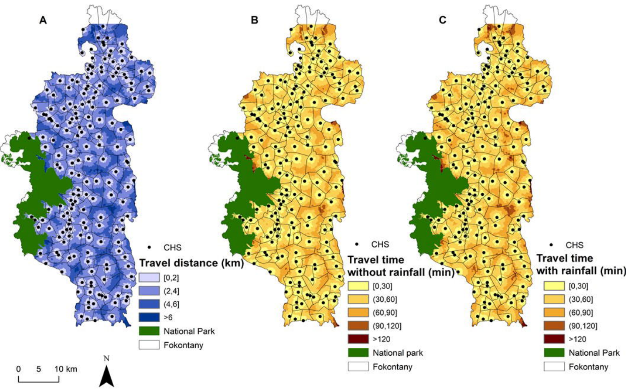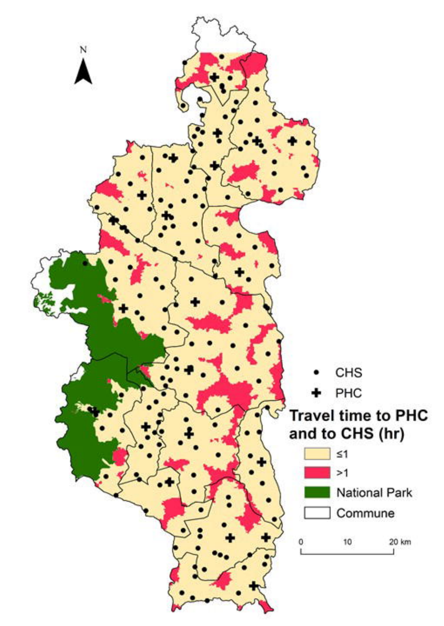